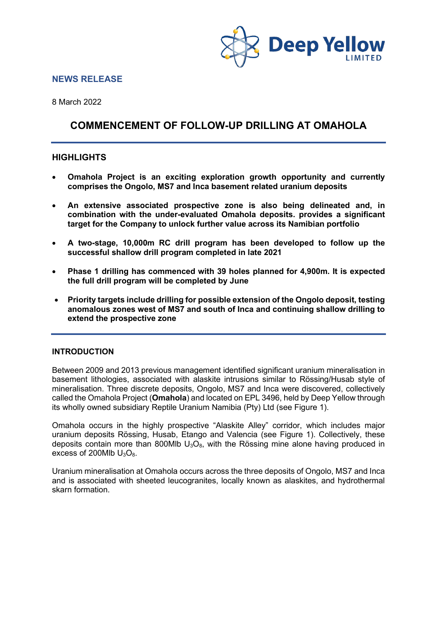

### **NEWS RELEASE**

8 March 2022

# **COMMENCEMENT OF FOLLOW-UP DRILLING AT OMAHOLA**

## **HIGHLIGHTS**

- **Omahola Project is an exciting exploration growth opportunity and currently comprises the Ongolo, MS7 and Inca basement related uranium deposits**
- **An extensive associated prospective zone is also being delineated and, in combination with the under-evaluated Omahola deposits. provides a significant target for the Company to unlock further value across its Namibian portfolio**
- **A two-stage, 10,000m RC drill program has been developed to follow up the successful shallow drill program completed in late 2021**
- **Phase 1 drilling has commenced with 39 holes planned for 4,900m. It is expected the full drill program will be completed by June**
- **Priority targets include drilling for possible extension of the Ongolo deposit, testing anomalous zones west of MS7 and south of Inca and continuing shallow drilling to extend the prospective zone**

### **INTRODUCTION**

Between 2009 and 2013 previous management identified significant uranium mineralisation in basement lithologies, associated with alaskite intrusions similar to Rössing/Husab style of mineralisation. Three discrete deposits, Ongolo, MS7 and Inca were discovered, collectively called the Omahola Project (**Omahola**) and located on EPL 3496, held by Deep Yellow through its wholly owned subsidiary Reptile Uranium Namibia (Pty) Ltd (see Figure 1).

Omahola occurs in the highly prospective "Alaskite Alley" corridor, which includes major uranium deposits Rössing, Husab, Etango and Valencia (see Figure 1). Collectively, these deposits contain more than 800Mlb  $U_3O_8$ , with the Rössing mine alone having produced in excess of 200Mlb  $U_3O_8$ .

Uranium mineralisation at Omahola occurs across the three deposits of Ongolo, MS7 and Inca and is associated with sheeted leucogranites, locally known as alaskites, and hydrothermal skarn formation.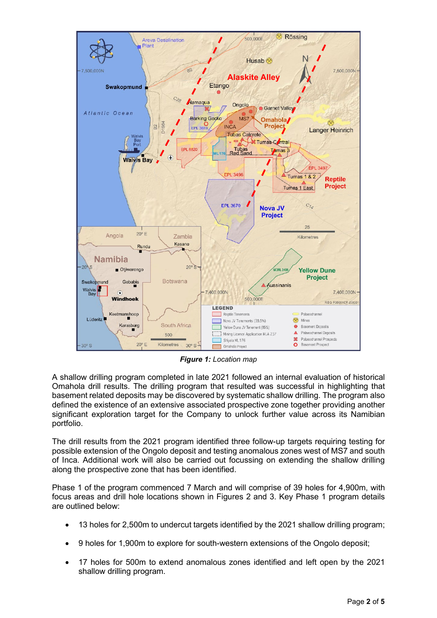

*Figure 1: Location map*

A shallow drilling program completed in late 2021 followed an internal evaluation of historical Omahola drill results. The drilling program that resulted was successful in highlighting that basement related deposits may be discovered by systematic shallow drilling. The program also defined the existence of an extensive associated prospective zone together providing another significant exploration target for the Company to unlock further value across its Namibian portfolio.

The drill results from the 2021 program identified three follow-up targets requiring testing for possible extension of the Ongolo deposit and testing anomalous zones west of MS7 and south of Inca. Additional work will also be carried out focussing on extending the shallow drilling along the prospective zone that has been identified.

Phase 1 of the program commenced 7 March and will comprise of 39 holes for 4,900m, with focus areas and drill hole locations shown in Figures 2 and 3. Key Phase 1 program details are outlined below:

- 13 holes for 2,500m to undercut targets identified by the 2021 shallow drilling program;
- 9 holes for 1,900m to explore for south-western extensions of the Ongolo deposit;
- 17 holes for 500m to extend anomalous zones identified and left open by the 2021 shallow drilling program.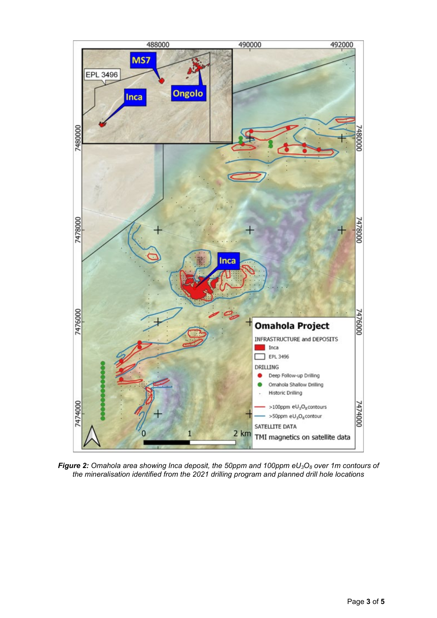

*Figure 2: Omahola area showing Inca deposit, the 50ppm and 100ppm eU3O8 over 1m contours of the mineralisation identified from the 2021 drilling program and planned drill hole locations*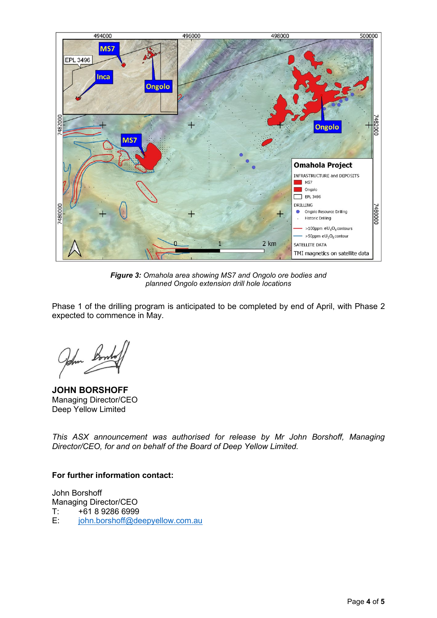

*Figure 3: Omahola area showing MS7 and Ongolo ore bodies and planned Ongolo extension drill hole locations*

Phase 1 of the drilling program is anticipated to be completed by end of April, with Phase 2 expected to commence in May.

John Bont

**JOHN BORSHOFF** Managing Director/CEO Deep Yellow Limited

*This ASX announcement was authorised for release by Mr John Borshoff, Managing Director/CEO, for and on behalf of the Board of Deep Yellow Limited.*

## **For further information contact:**

John Borshoff Managing Director/CEO<br>T: +61 8 9286 6999  $T:$   $+61892866999$ <br>E:  $\frac{\text{iohn.borshoff} \textcircled{600}}{\text{ion.borshof} \textcircled{600}}$ [john.borshoff@deepyellow.com.au](mailto:john.borshoff@deepyellow.com.au)